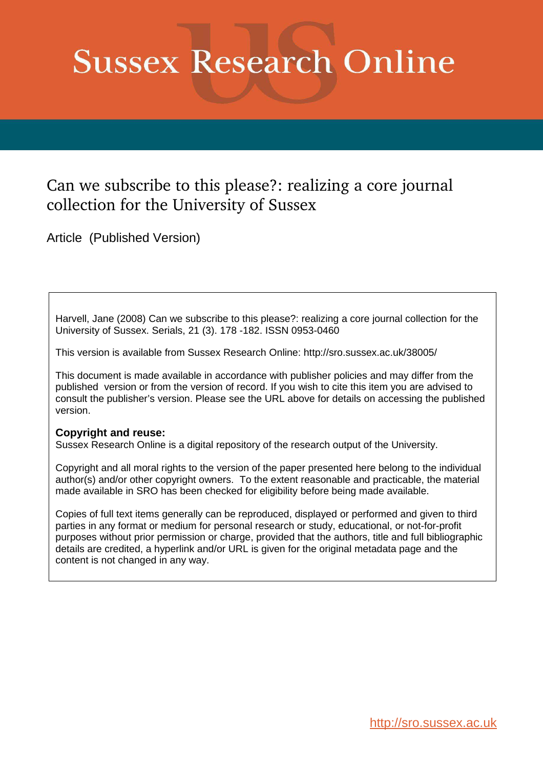# **Sussex Research Online**

### Can we subscribe to this please?: realizing a core journal collection for the University of Sussex

Article (Published Version)

Harvell, Jane (2008) Can we subscribe to this please?: realizing a core journal collection for the University of Sussex. Serials, 21 (3). 178 -182. ISSN 0953-0460

This version is available from Sussex Research Online: http://sro.sussex.ac.uk/38005/

This document is made available in accordance with publisher policies and may differ from the published version or from the version of record. If you wish to cite this item you are advised to consult the publisher's version. Please see the URL above for details on accessing the published version.

#### **Copyright and reuse:**

Sussex Research Online is a digital repository of the research output of the University.

Copyright and all moral rights to the version of the paper presented here belong to the individual author(s) and/or other copyright owners. To the extent reasonable and practicable, the material made available in SRO has been checked for eligibility before being made available.

Copies of full text items generally can be reproduced, displayed or performed and given to third parties in any format or medium for personal research or study, educational, or not-for-profit purposes without prior permission or charge, provided that the authors, title and full bibliographic details are credited, a hyperlink and/or URL is given for the original metadata page and the content is not changed in any way.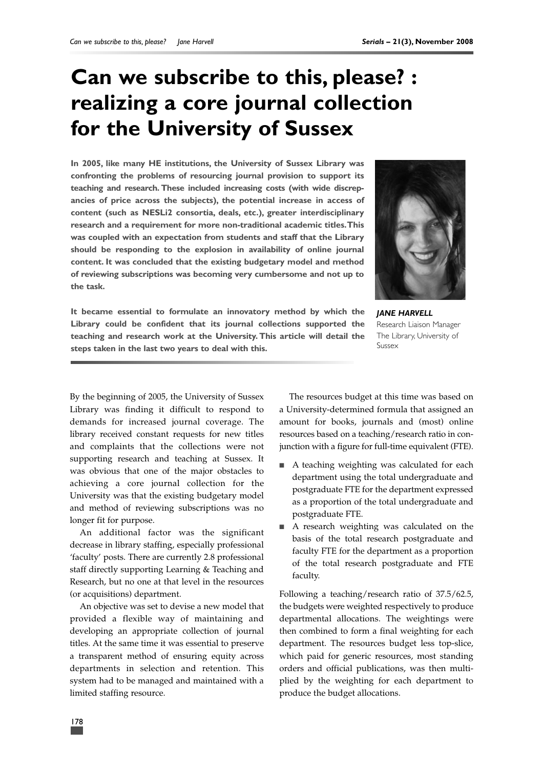## **Can we subscribe to this, please? : realizing a core journal collection for the University of Sussex**

**In 2005, like many HE institutions, the University of Sussex Library was confronting the problems of resourcing journal provision to support its teaching and research. These included increasing costs (with wide discrepancies of price across the subjects), the potential increase in access of content (such as NESLi2 consortia, deals, etc.), greater interdisciplinary research and a requirement for more non-traditional academic titles.This was coupled with an expectation from students and staff that the Library should be responding to the explosion in availability of online journal content. It was concluded that the existing budgetary model and method of reviewing subscriptions was becoming very cumbersome and not up to the task.**



**It became essential to formulate an innovatory method by which the Library could be confident that its journal collections supported the teaching and research work at the University. This article will detail the steps taken in the last two years to deal with this.**

*JANE HARVELL* Research Liaison Manager The Library, University of Sussex

By the beginning of 2005, the University of Sussex Library was finding it difficult to respond to demands for increased journal coverage. The library received constant requests for new titles and complaints that the collections were not supporting research and teaching at Sussex. It was obvious that one of the major obstacles to achieving a core journal collection for the University was that the existing budgetary model and method of reviewing subscriptions was no longer fit for purpose.

An additional factor was the significant decrease in library staffing, especially professional 'faculty' posts. There are currently 2.8 professional staff directly supporting Learning & Teaching and Research, but no one at that level in the resources (or acquisitions) department.

An objective was set to devise a new model that provided a flexible way of maintaining and developing an appropriate collection of journal titles. At the same time it was essential to preserve a transparent method of ensuring equity across departments in selection and retention. This system had to be managed and maintained with a limited staffing resource.

The resources budget at this time was based on a University-determined formula that assigned an amount for books, journals and (most) online resources based on a teaching/research ratio in conjunction with a figure for full-time equivalent (FTE).

- A teaching weighting was calculated for each department using the total undergraduate and postgraduate FTE for the department expressed as a proportion of the total undergraduate and postgraduate FTE.
- A research weighting was calculated on the basis of the total research postgraduate and faculty FTE for the department as a proportion of the total research postgraduate and FTE faculty.

Following a teaching/research ratio of 37.5/62.5, the budgets were weighted respectively to produce departmental allocations. The weightings were then combined to form a final weighting for each department. The resources budget less top-slice, which paid for generic resources, most standing orders and official publications, was then multiplied by the weighting for each department to produce the budget allocations.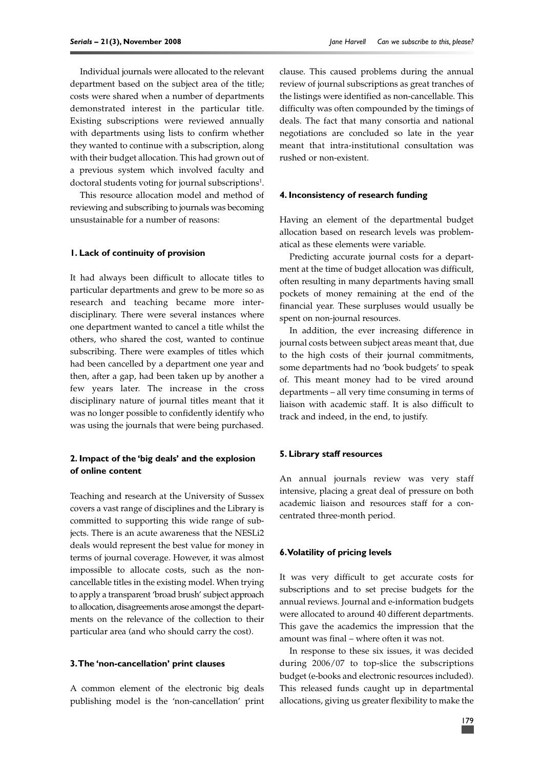Individual journals were allocated to the relevant department based on the subject area of the title; costs were shared when a number of departments demonstrated interest in the particular title. Existing subscriptions were reviewed annually with departments using lists to confirm whether they wanted to continue with a subscription, along with their budget allocation. This had grown out of a previous system which involved faculty and doctoral students voting for journal subscriptions<sup>1</sup>.

This resource allocation model and method of reviewing and subscribing to journals was becoming unsustainable for a number of reasons:

#### **1. Lack of continuity of provision**

It had always been difficult to allocate titles to particular departments and grew to be more so as research and teaching became more interdisciplinary. There were several instances where one department wanted to cancel a title whilst the others, who shared the cost, wanted to continue subscribing. There were examples of titles which had been cancelled by a department one year and then, after a gap, had been taken up by another a few years later. The increase in the cross disciplinary nature of journal titles meant that it was no longer possible to confidently identify who was using the journals that were being purchased.

#### **2. Impact of the 'big deals' and the explosion of online content**

Teaching and research at the University of Sussex covers a vast range of disciplines and the Library is committed to supporting this wide range of subjects. There is an acute awareness that the NESLi2 deals would represent the best value for money in terms of journal coverage. However, it was almost impossible to allocate costs, such as the noncancellable titles in the existing model. When trying to apply a transparent 'broad brush' subject approach to allocation, disagreements arose amongst the departments on the relevance of the collection to their particular area (and who should carry the cost).

#### **3.The 'non-cancellation' print clauses**

A common element of the electronic big deals publishing model is the 'non-cancellation' print clause. This caused problems during the annual review of journal subscriptions as great tranches of the listings were identified as non-cancellable. This difficulty was often compounded by the timings of deals. The fact that many consortia and national negotiations are concluded so late in the year meant that intra-institutional consultation was rushed or non-existent.

#### **4. Inconsistency of research funding**

Having an element of the departmental budget allocation based on research levels was problematical as these elements were variable.

Predicting accurate journal costs for a department at the time of budget allocation was difficult, often resulting in many departments having small pockets of money remaining at the end of the financial year. These surpluses would usually be spent on non-journal resources.

In addition, the ever increasing difference in journal costs between subject areas meant that, due to the high costs of their journal commitments, some departments had no 'book budgets' to speak of. This meant money had to be vired around departments – all very time consuming in terms of liaison with academic staff. It is also difficult to track and indeed, in the end, to justify.

#### **5. Library staff resources**

An annual journals review was very staff intensive, placing a great deal of pressure on both academic liaison and resources staff for a concentrated three-month period.

#### **6.Volatility of pricing levels**

It was very difficult to get accurate costs for subscriptions and to set precise budgets for the annual reviews. Journal and e-information budgets were allocated to around 40 different departments. This gave the academics the impression that the amount was final – where often it was not.

In response to these six issues, it was decided during 2006/07 to top-slice the subscriptions budget (e-books and electronic resources included). This released funds caught up in departmental allocations, giving us greater flexibility to make the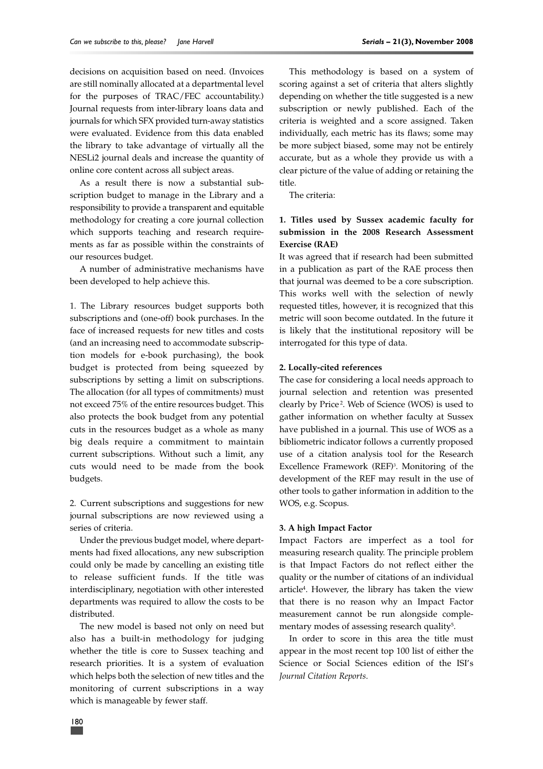decisions on acquisition based on need. (Invoices are still nominally allocated at a departmental level for the purposes of TRAC/FEC accountability.) Journal requests from inter-library loans data and journals for which SFX provided turn-away statistics were evaluated. Evidence from this data enabled the library to take advantage of virtually all the NESLi2 journal deals and increase the quantity of online core content across all subject areas.

As a result there is now a substantial subscription budget to manage in the Library and a responsibility to provide a transparent and equitable methodology for creating a core journal collection which supports teaching and research requirements as far as possible within the constraints of our resources budget.

A number of administrative mechanisms have been developed to help achieve this.

1. The Library resources budget supports both subscriptions and (one-off) book purchases. In the face of increased requests for new titles and costs (and an increasing need to accommodate subscription models for e-book purchasing), the book budget is protected from being squeezed by subscriptions by setting a limit on subscriptions. The allocation (for all types of commitments) must not exceed 75% of the entire resources budget. This also protects the book budget from any potential cuts in the resources budget as a whole as many big deals require a commitment to maintain current subscriptions. Without such a limit, any cuts would need to be made from the book budgets.

2. Current subscriptions and suggestions for new journal subscriptions are now reviewed using a series of criteria.

Under the previous budget model, where departments had fixed allocations, any new subscription could only be made by cancelling an existing title to release sufficient funds. If the title was interdisciplinary, negotiation with other interested departments was required to allow the costs to be distributed.

The new model is based not only on need but also has a built-in methodology for judging whether the title is core to Sussex teaching and research priorities. It is a system of evaluation which helps both the selection of new titles and the monitoring of current subscriptions in a way which is manageable by fewer staff.

This methodology is based on a system of scoring against a set of criteria that alters slightly depending on whether the title suggested is a new subscription or newly published. Each of the criteria is weighted and a score assigned. Taken individually, each metric has its flaws; some may be more subject biased, some may not be entirely accurate, but as a whole they provide us with a clear picture of the value of adding or retaining the title.

The criteria:

#### **1. Titles used by Sussex academic faculty for submission in the 2008 Research Assessment Exercise (RAE)**

It was agreed that if research had been submitted in a publication as part of the RAE process then that journal was deemed to be a core subscription. This works well with the selection of newly requested titles, however, it is recognized that this metric will soon become outdated. In the future it is likely that the institutional repository will be interrogated for this type of data.

#### **2. Locally-cited references**

The case for considering a local needs approach to journal selection and retention was presented clearly by Price <sup>2</sup> . Web of Science (WOS) is used to gather information on whether faculty at Sussex have published in a journal. This use of WOS as a bibliometric indicator follows a currently proposed use of a citation analysis tool for the Research Excellence Framework (REF)<sup>3</sup> . Monitoring of the development of the REF may result in the use of other tools to gather information in addition to the WOS, e.g. Scopus.

#### **3. A high Impact Factor**

Impact Factors are imperfect as a tool for measuring research quality. The principle problem is that Impact Factors do not reflect either the quality or the number of citations of an individual article<sup>4</sup> . However, the library has taken the view that there is no reason why an Impact Factor measurement cannot be run alongside complementary modes of assessing research quality<sup>5</sup>.

In order to score in this area the title must appear in the most recent top 100 list of either the Science or Social Sciences edition of the ISI's *Journal Citation Reports*.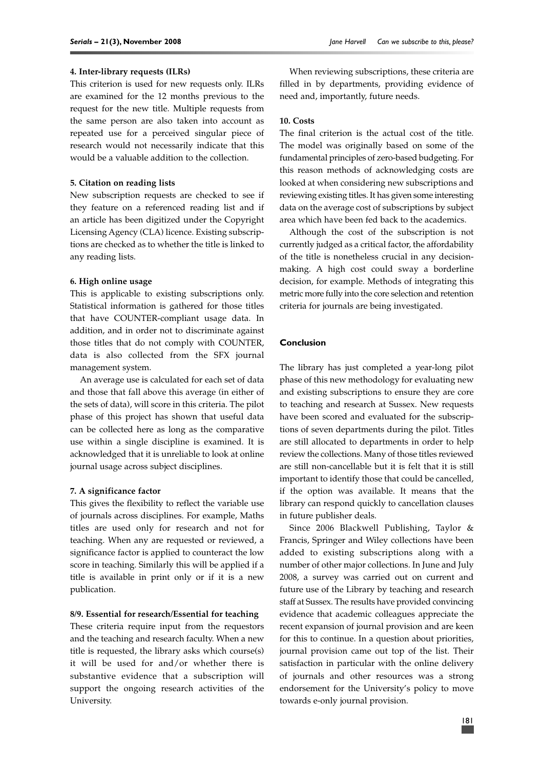#### **4. Inter-library requests (ILRs)**

This criterion is used for new requests only. ILRs are examined for the 12 months previous to the request for the new title. Multiple requests from the same person are also taken into account as repeated use for a perceived singular piece of research would not necessarily indicate that this would be a valuable addition to the collection.

#### **5. Citation on reading lists**

New subscription requests are checked to see if they feature on a referenced reading list and if an article has been digitized under the Copyright Licensing Agency (CLA) licence. Existing subscriptions are checked as to whether the title is linked to any reading lists.

#### **6. High online usage**

This is applicable to existing subscriptions only. Statistical information is gathered for those titles that have COUNTER-compliant usage data. In addition, and in order not to discriminate against those titles that do not comply with COUNTER, data is also collected from the SFX journal management system.

An average use is calculated for each set of data and those that fall above this average (in either of the sets of data), will score in this criteria. The pilot phase of this project has shown that useful data can be collected here as long as the comparative use within a single discipline is examined. It is acknowledged that it is unreliable to look at online journal usage across subject disciplines.

#### **7. A significance factor**

This gives the flexibility to reflect the variable use of journals across disciplines. For example, Maths titles are used only for research and not for teaching. When any are requested or reviewed, a significance factor is applied to counteract the low score in teaching. Similarly this will be applied if a title is available in print only or if it is a new publication.

#### **8/9. Essential for research/Essential for teaching**

These criteria require input from the requestors and the teaching and research faculty. When a new title is requested, the library asks which course(s) it will be used for and/or whether there is substantive evidence that a subscription will support the ongoing research activities of the University.

When reviewing subscriptions, these criteria are filled in by departments, providing evidence of need and, importantly, future needs.

#### **10. Costs**

The final criterion is the actual cost of the title. The model was originally based on some of the fundamental principles of zero-based budgeting. For this reason methods of acknowledging costs are looked at when considering new subscriptions and reviewing existing titles. It has given some interesting data on the average cost of subscriptions by subject area which have been fed back to the academics.

Although the cost of the subscription is not currently judged as a critical factor, the affordability of the title is nonetheless crucial in any decisionmaking. A high cost could sway a borderline decision, for example. Methods of integrating this metric more fully into the core selection and retention criteria for journals are being investigated.

#### **Conclusion**

The library has just completed a year-long pilot phase of this new methodology for evaluating new and existing subscriptions to ensure they are core to teaching and research at Sussex. New requests have been scored and evaluated for the subscriptions of seven departments during the pilot. Titles are still allocated to departments in order to help review the collections. Many of those titles reviewed are still non-cancellable but it is felt that it is still important to identify those that could be cancelled, if the option was available. It means that the library can respond quickly to cancellation clauses in future publisher deals.

Since 2006 Blackwell Publishing, Taylor & Francis, Springer and Wiley collections have been added to existing subscriptions along with a number of other major collections. In June and July 2008, a survey was carried out on current and future use of the Library by teaching and research staff at Sussex. The results have provided convincing evidence that academic colleagues appreciate the recent expansion of journal provision and are keen for this to continue. In a question about priorities, journal provision came out top of the list. Their satisfaction in particular with the online delivery of journals and other resources was a strong endorsement for the University's policy to move towards e-only journal provision.